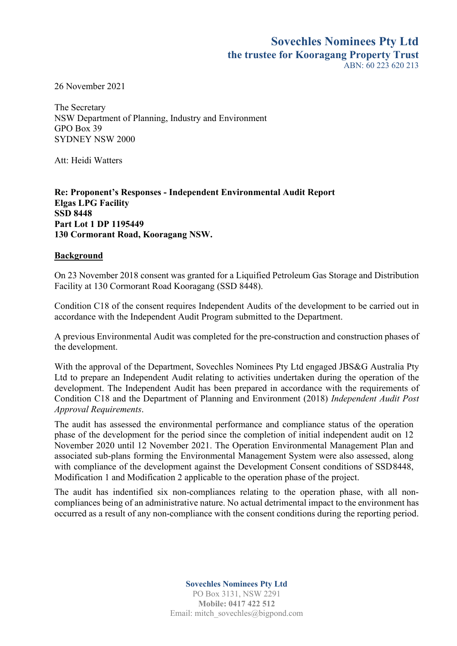## **Sovechles Nominees Pty Ltd the trustee for Kooragang Property Trust**  $ABN: 60, 223, 620, 213$

26 November 2021

The Secretary NSW Department of Planning, Industry and Environment GPO Box 39 SYDNEY NSW 2000

Att: Heidi Watters

**Re: Proponent's Responses - Independent Environmental Audit Report Elgas LPG Facility SSD 8448 Part Lot 1 DP 1195449 130 Cormorant Road, Kooragang NSW.** 

## **Background**

On 23 November 2018 consent was granted for a Liquified Petroleum Gas Storage and Distribution Facility at 130 Cormorant Road Kooragang (SSD 8448).

Condition C18 of the consent requires Independent Audits of the development to be carried out in accordance with the Independent Audit Program submitted to the Department.

A previous Environmental Audit was completed for the pre-construction and construction phases of the development.

With the approval of the Department, Sovechles Nominees Pty Ltd engaged JBS&G Australia Pty Ltd to prepare an Independent Audit relating to activities undertaken during the operation of the development. The Independent Audit has been prepared in accordance with the requirements of Condition C18 and the Department of Planning and Environment (2018) *Independent Audit Post Approval Requirements*.

The audit has assessed the environmental performance and compliance status of the operation phase of the development for the period since the completion of initial independent audit on 12 November 2020 until 12 November 2021. The Operation Environmental Management Plan and associated sub-plans forming the Environmental Management System were also assessed, along with compliance of the development against the Development Consent conditions of SSD8448, Modification 1 and Modification 2 applicable to the operation phase of the project.

The audit has indentified six non-compliances relating to the operation phase, with all noncompliances being of an administrative nature. No actual detrimental impact to the environment has occurred as a result of any non-compliance with the consent conditions during the reporting period.

**Sovechles Nominees Pty Ltd**

PO Box 3131, NSW 2291 **Mobile: 0417 422 512** Email: mitch\_sovechles@bigpond.com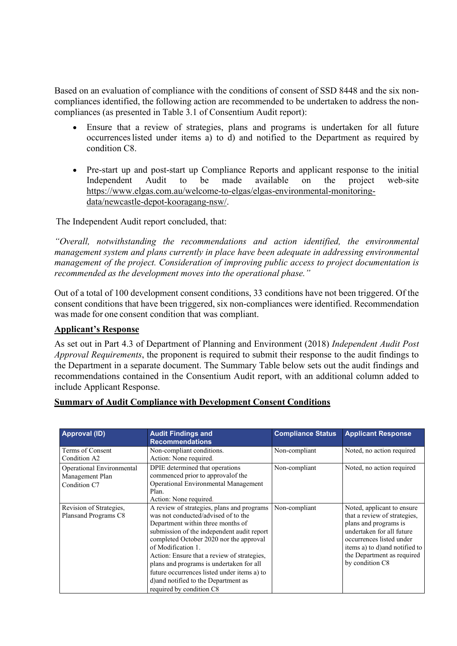Based on an evaluation of compliance with the conditions of consent of SSD 8448 and the six noncompliances identified, the following action are recommended to be undertaken to address the noncompliances (as presented in Table 3.1 of Consentium Audit report):

- Ensure that a review of strategies, plans and programs is undertaken for all future occurrenceslisted under items a) to d) and notified to the Department as required by condition C8.
- Pre-start up and post-start up Compliance Reports and applicant response to the initial Independent Audit to be made available on the project web-site [https://www.elgas.com.au/welcome-to-elgas/elgas-environmental-monitoring](https://www.elgas.com.au/welcome-to-elgas/elgas-environmental-monitoring-data/newcastle-depot-kooragang-nsw/)[data/newcastle-depot-kooragang-nsw/.](https://www.elgas.com.au/welcome-to-elgas/elgas-environmental-monitoring-data/newcastle-depot-kooragang-nsw/)

The Independent Audit report concluded, that:

*"Overall, notwithstanding the recommendations and action identified, the environmental management system and plans currently in place have been adequate in addressing environmental management of the project. Consideration of improving public access to project documentation is recommended as the development moves into the operational phase."*

Out of a total of 100 development consent conditions, 33 conditions have not been triggered. Of the consent conditions that have been triggered, six non-compliances were identified. Recommendation was made for one consent condition that was compliant.

## **Applicant's Response**

As set out in Part 4.3 of Department of Planning and Environment (2018) *Independent Audit Post Approval Requirements*, the proponent is required to submit their response to the audit findings to the Department in a separate document. The Summary Table below sets out the audit findings and recommendations contained in the Consentium Audit report, with an additional column added to include Applicant Response.

## **Summary of Audit Compliance with Development Consent Conditions**

| <b>Approval (ID)</b>                                         | <b>Audit Findings and</b><br><b>Recommendations</b>                                                                                                                                                                                                                                                                                                                                                                                                 | <b>Compliance Status</b> | <b>Applicant Response</b>                                                                                                                                                                                                       |
|--------------------------------------------------------------|-----------------------------------------------------------------------------------------------------------------------------------------------------------------------------------------------------------------------------------------------------------------------------------------------------------------------------------------------------------------------------------------------------------------------------------------------------|--------------------------|---------------------------------------------------------------------------------------------------------------------------------------------------------------------------------------------------------------------------------|
| Terms of Consent<br>Condition A2                             | Non-compliant conditions.<br>Action: None required.                                                                                                                                                                                                                                                                                                                                                                                                 | Non-compliant            | Noted, no action required                                                                                                                                                                                                       |
| Operational Environmental<br>Management Plan<br>Condition C7 | DPIE determined that operations<br>commenced prior to approval of the<br>Operational Environmental Management<br>Plan.<br>Action: None required.                                                                                                                                                                                                                                                                                                    | Non-compliant            | Noted, no action required                                                                                                                                                                                                       |
| Revision of Strategies,<br>Plansand Programs C8              | A review of strategies, plans and programs<br>was not conducted/advised of to the<br>Department within three months of<br>submission of the independent audit report<br>completed October 2020 nor the approval<br>of Modification 1.<br>Action: Ensure that a review of strategies,<br>plans and programs is undertaken for all<br>future occurrences listed under items a) to<br>d) and notified to the Department as<br>required by condition C8 | Non-compliant            | Noted, applicant to ensure<br>that a review of strategies,<br>plans and programs is<br>undertaken for all future<br>occurrences listed under<br>items a) to d) and notified to<br>the Department as required<br>by condition C8 |